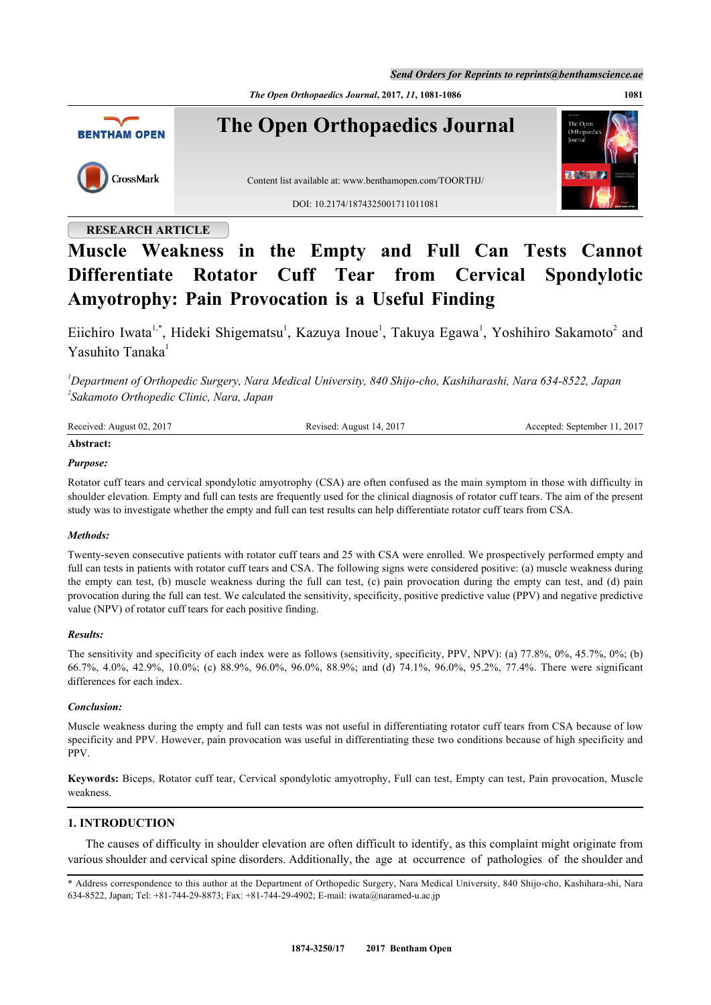*Send Orders for Reprints to reprints@benthamscience.ae*

*The Open Orthopaedics Journal***, 2017,** *11***, 1081-1086 1081**



## **RESEARCH ARTICLE**

# **Muscle Weakness in the Empty and Full Can Tests Cannot Differentiate Rotator Cuff Tear from Cervical Spondylotic Amyotrophy: Pain Provocation is a Useful Finding**

Eiichiro Iwata<sup>[1,](#page-0-0)[\\*](#page-0-1)</sup>, Hideki Shigematsu<sup>[1](#page-0-0)</sup>, Kazuya Inoue<sup>1</sup>, Takuya Egawa<sup>1</sup>, Yoshihiro Sakamoto<sup>[2](#page-0-2)</sup> and Yasuhito Tanaka[1](#page-0-0)

<span id="page-0-2"></span><span id="page-0-0"></span>*<sup>1</sup>Department of Orthopedic Surgery, Nara Medical University, 840 Shijo-cho, Kashiharashi, Nara 634-8522, Japan 2 Sakamoto Orthopedic Clinic, Nara, Japan*

| Received: August 02, 2017 | Revised: August 14, 2017 | Accepted: September 11, 2017 |
|---------------------------|--------------------------|------------------------------|
| Abstract:                 |                          |                              |

## *Purpose:*

Rotator cuff tears and cervical spondylotic amyotrophy (CSA) are often confused as the main symptom in those with difficulty in shoulder elevation. Empty and full can tests are frequently used for the clinical diagnosis of rotator cuff tears. The aim of the present study was to investigate whether the empty and full can test results can help differentiate rotator cuff tears from CSA.

## *Methods:*

Twenty-seven consecutive patients with rotator cuff tears and 25 with CSA were enrolled. We prospectively performed empty and full can tests in patients with rotator cuff tears and CSA. The following signs were considered positive: (a) muscle weakness during the empty can test, (b) muscle weakness during the full can test, (c) pain provocation during the empty can test, and (d) pain provocation during the full can test. We calculated the sensitivity, specificity, positive predictive value (PPV) and negative predictive value (NPV) of rotator cuff tears for each positive finding.

## *Results:*

The sensitivity and specificity of each index were as follows (sensitivity, specificity, PPV, NPV): (a) 77.8%, 0%, 45.7%, 0%; (b) 66.7%, 4.0%, 42.9%, 10.0%; (c) 88.9%, 96.0%, 96.0%, 88.9%; and (d) 74.1%, 96.0%, 95.2%, 77.4%. There were significant differences for each index.

## *Conclusion:*

Muscle weakness during the empty and full can tests was not useful in differentiating rotator cuff tears from CSA because of low specificity and PPV. However, pain provocation was useful in differentiating these two conditions because of high specificity and PPV.

**Keywords:** Biceps, Rotator cuff tear, Cervical spondylotic amyotrophy, Full can test, Empty can test, Pain provocation, Muscle weakness.

## **1. INTRODUCTION**

The causes of difficulty in shoulder elevation are often difficult to identify, as this complaint might originate from various shoulder and cervical spine disorders. Additionally, the age at occurrence of pathologies of the shoulder and

<span id="page-0-1"></span><sup>\*</sup> Address correspondence to this author at the Department of Orthopedic Surgery, Nara Medical University, 840 Shijo-cho, Kashihara-shi, Nara 634-8522, Japan; Tel: +81-744-29-8873; Fax: +81-744-29-4902; E-mail: [iwata@naramed-u.ac.jp](mailto:iwata@naramed-u.ac.jp)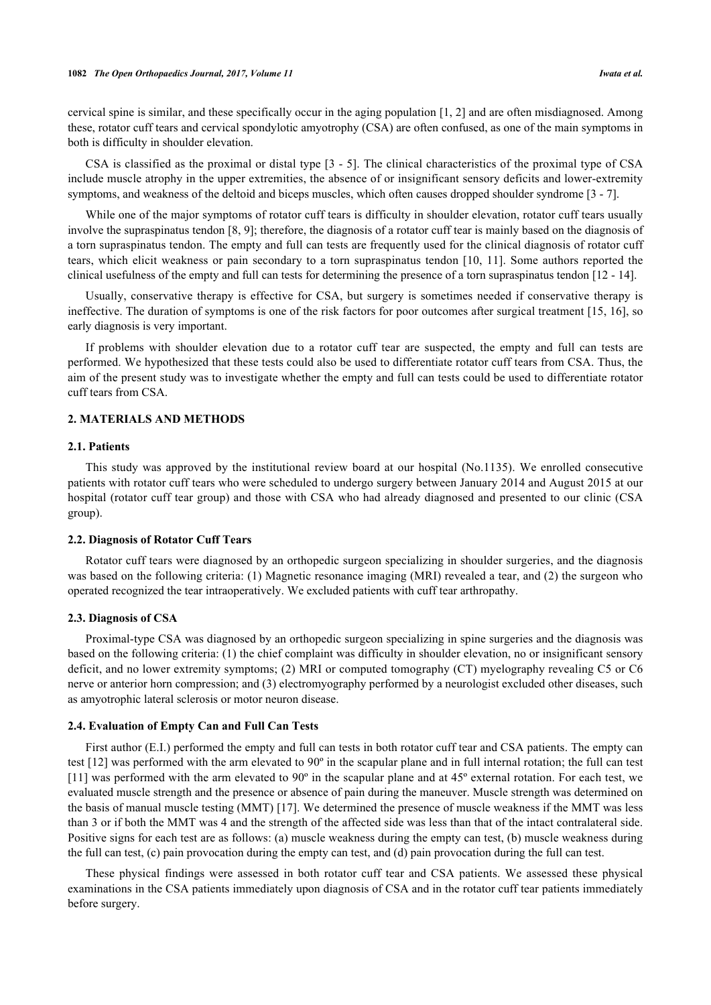cervical spine is similar, and these specifically occur in the aging population [\[1](#page-4-0), [2\]](#page-4-1) and are often misdiagnosed. Among these, rotator cuff tears and cervical spondylotic amyotrophy (CSA) are often confused, as one of the main symptoms in both is difficulty in shoulder elevation.

CSA is classified as the proximal or distal type [\[3](#page-4-2) - [5](#page-4-3)]. The clinical characteristics of the proximal type of CSA include muscle atrophy in the upper extremities, the absence of or insignificant sensory deficits and lower-extremity symptoms, and weakness of the deltoid and biceps muscles, which often causes dropped shoulder syndrome [[3](#page-4-2) - [7](#page-4-4)].

While one of the major symptoms of rotator cuff tears is difficulty in shoulder elevation, rotator cuff tears usually involve the supraspinatus tendon [\[8](#page-4-5), [9](#page-4-6)]; therefore, the diagnosis of a rotator cuff tear is mainly based on the diagnosis of a torn supraspinatus tendon. The empty and full can tests are frequently used for the clinical diagnosis of rotator cuff tears, which elicit weakness or pain secondary to a torn supraspinatus tendon [\[10](#page-4-7), [11\]](#page-4-8). Some authors reported the clinical usefulness of the empty and full can tests for determining the presence of a torn supraspinatus tendon [\[12](#page-4-9) - [14\]](#page-5-0).

Usually, conservative therapy is effective for CSA, but surgery is sometimes needed if conservative therapy is ineffective. The duration of symptoms is one of the risk factors for poor outcomes after surgical treatment [\[15,](#page-5-1) [16\]](#page-5-2), so early diagnosis is very important.

If problems with shoulder elevation due to a rotator cuff tear are suspected, the empty and full can tests are performed. We hypothesized that these tests could also be used to differentiate rotator cuff tears from CSA. Thus, the aim of the present study was to investigate whether the empty and full can tests could be used to differentiate rotator cuff tears from CSA.

## **2. MATERIALS AND METHODS**

## **2.1. Patients**

This study was approved by the institutional review board at our hospital (No.1135). We enrolled consecutive patients with rotator cuff tears who were scheduled to undergo surgery between January 2014 and August 2015 at our hospital (rotator cuff tear group) and those with CSA who had already diagnosed and presented to our clinic (CSA group).

## **2.2. Diagnosis of Rotator Cuff Tears**

Rotator cuff tears were diagnosed by an orthopedic surgeon specializing in shoulder surgeries, and the diagnosis was based on the following criteria: (1) Magnetic resonance imaging (MRI) revealed a tear, and (2) the surgeon who operated recognized the tear intraoperatively. We excluded patients with cuff tear arthropathy.

#### **2.3. Diagnosis of CSA**

Proximal-type CSA was diagnosed by an orthopedic surgeon specializing in spine surgeries and the diagnosis was based on the following criteria: (1) the chief complaint was difficulty in shoulder elevation, no or insignificant sensory deficit, and no lower extremity symptoms; (2) MRI or computed tomography (CT) myelography revealing C5 or C6 nerve or anterior horn compression; and (3) electromyography performed by a neurologist excluded other diseases, such as amyotrophic lateral sclerosis or motor neuron disease.

#### **2.4. Evaluation of Empty Can and Full Can Tests**

First author (E.I.) performed the empty and full can tests in both rotator cuff tear and CSA patients. The empty can test [[12](#page-4-9)] was performed with the arm elevated to 90º in the scapular plane and in full internal rotation; the full can test [\[11](#page-4-8)] was performed with the arm elevated to 90º in the scapular plane and at 45º external rotation. For each test, we evaluated muscle strength and the presence or absence of pain during the maneuver. Muscle strength was determined on the basis of manual muscle testing (MMT) [\[17](#page-5-3)]. We determined the presence of muscle weakness if the MMT was less than 3 or if both the MMT was 4 and the strength of the affected side was less than that of the intact contralateral side. Positive signs for each test are as follows: (a) muscle weakness during the empty can test, (b) muscle weakness during the full can test, (c) pain provocation during the empty can test, and (d) pain provocation during the full can test.

These physical findings were assessed in both rotator cuff tear and CSA patients. We assessed these physical examinations in the CSA patients immediately upon diagnosis of CSA and in the rotator cuff tear patients immediately before surgery.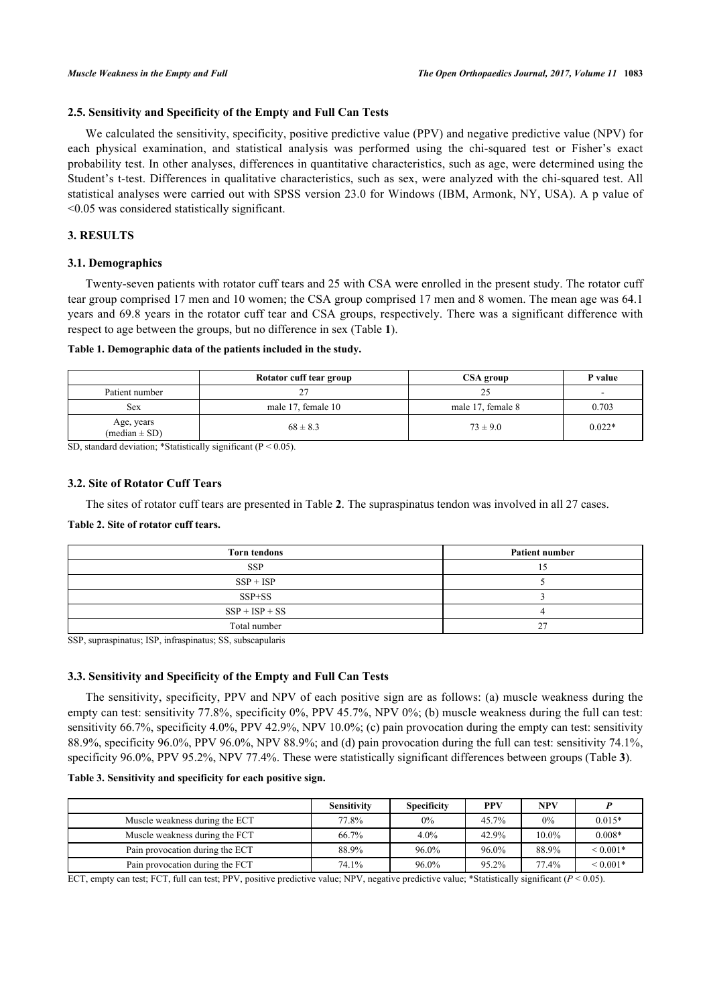## **2.5. Sensitivity and Specificity of the Empty and Full Can Tests**

We calculated the sensitivity, specificity, positive predictive value (PPV) and negative predictive value (NPV) for each physical examination, and statistical analysis was performed using the chi-squared test or Fisher's exact probability test. In other analyses, differences in quantitative characteristics, such as age, were determined using the Student's t-test. Differences in qualitative characteristics, such as sex, were analyzed with the chi-squared test. All statistical analyses were carried out with SPSS version 23.0 for Windows (IBM, Armonk, NY, USA). A p value of <0.05 was considered statistically significant.

## **3. RESULTS**

## **3.1. Demographics**

Twenty-seven patients with rotator cuff tears and 25 with CSA were enrolled in the present study. The rotator cuff tear group comprised 17 men and 10 women; the CSA group comprised 17 men and 8 women. The mean age was 64.1 years and 69.8 years in the rotator cuff tear and CSA groups, respectively. There was a significant difference with respect to age between the groups, but no difference in sex (Table **[1](#page-2-0)**).

## <span id="page-2-0"></span>**Table 1. Demographic data of the patients included in the study.**

|                                 | Rotator cuff tear group | CSA group         | P value                  |
|---------------------------------|-------------------------|-------------------|--------------------------|
| Patient number                  | 27<br>∠                 | 25                | $\overline{\phantom{0}}$ |
| Sex                             | male 17, female 10      | male 17, female 8 | 0.703                    |
| Age, years<br>$(median \pm SD)$ | $68 \pm 8.3$            | $73 \pm 9.0$      | $0.022*$                 |

SD, standard deviation; \*Statistically significant ( $P < 0.05$ ).

## **3.2. Site of Rotator Cuff Tears**

The sites of rotator cuff tears are presented in Table **[2](#page-2-1)**. The supraspinatus tendon was involved in all 27 cases.

## <span id="page-2-1"></span>**Table 2. Site of rotator cuff tears.**

| <b>Torn tendons</b> | <b>Patient number</b> |  |  |
|---------------------|-----------------------|--|--|
| <b>SSP</b>          |                       |  |  |
| $SSP + ISP$         |                       |  |  |
| $SSP + SS$          |                       |  |  |
| $SSP + ISP + SS$    |                       |  |  |
| Total number        | $\sim$<br>∠           |  |  |

SSP, supraspinatus; ISP, infraspinatus; SS, subscapularis

## **3.3. Sensitivity and Specificity of the Empty and Full Can Tests**

The sensitivity, specificity, PPV and NPV of each positive sign are as follows: (a) muscle weakness during the empty can test: sensitivity 77.8%, specificity 0%, PPV 45.7%, NPV 0%; (b) muscle weakness during the full can test: sensitivity 66.7%, specificity 4.0%, PPV 42.9%, NPV 10.0%; (c) pain provocation during the empty can test: sensitivity 88.9%, specificity 96.0%, PPV 96.0%, NPV 88.9%; and (d) pain provocation during the full can test: sensitivity 74.1%, specificity 96.0%, PPV 95.2%, NPV 77.4%. These were statistically significant differences between groups (Table **[3](#page-2-2)**).

## <span id="page-2-2"></span>**Table 3. Sensitivity and specificity for each positive sign.**

|                                 | <b>Sensitivity</b> | <b>Specificity</b> | <b>PPV</b> | <b>NPV</b> |              |
|---------------------------------|--------------------|--------------------|------------|------------|--------------|
| Muscle weakness during the ECT  | 77.8%              | 0%                 | $45.7\%$   | 0%         | $0.015*$     |
| Muscle weakness during the FCT  | 66.7%              | 4.0%               | 42.9%      | $10.0\%$   | $0.008*$     |
| Pain provocation during the ECT | 88.9%              | 96.0%              | 96.0%      | 88.9%      | ${}< 0.001*$ |
| Pain provocation during the FCT | 74.1%              | 96.0%              | 95.2%      | 77.4%      | ${}< 0.001*$ |

ECT, empty can test; FCT, full can test; PPV, positive predictive value; NPV, negative predictive value; \*Statistically significant (*P* < 0.05).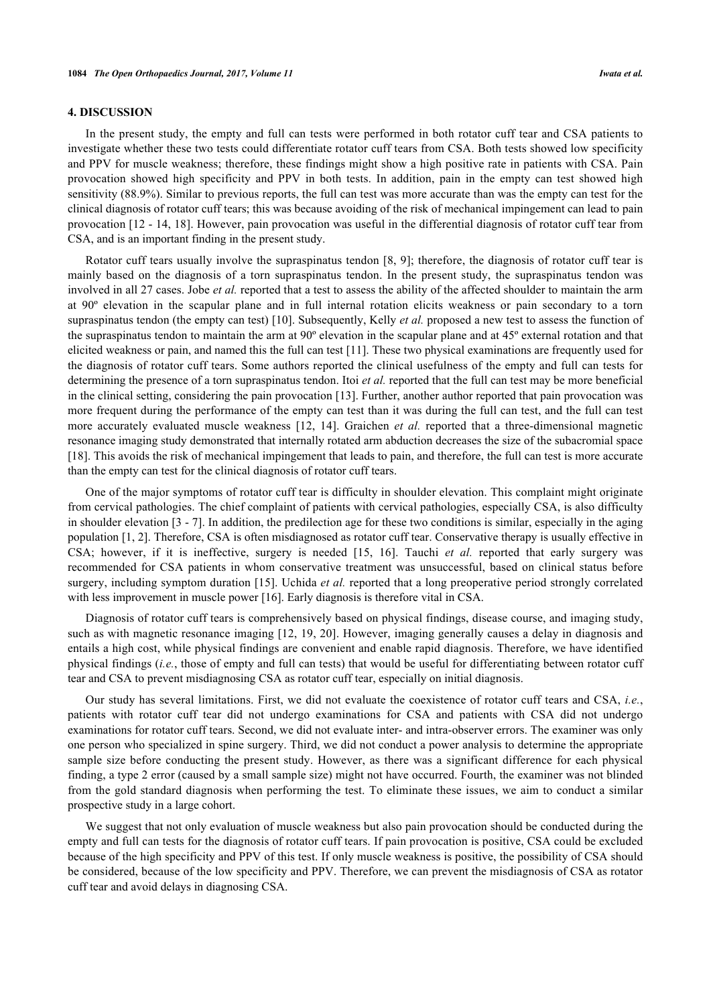## **4. DISCUSSION**

In the present study, the empty and full can tests were performed in both rotator cuff tear and CSA patients to investigate whether these two tests could differentiate rotator cuff tears from CSA. Both tests showed low specificity and PPV for muscle weakness; therefore, these findings might show a high positive rate in patients with CSA. Pain provocation showed high specificity and PPV in both tests. In addition, pain in the empty can test showed high sensitivity (88.9%). Similar to previous reports, the full can test was more accurate than was the empty can test for the clinical diagnosis of rotator cuff tears; this was because avoiding of the risk of mechanical impingement can lead to pain provocation [\[12](#page-4-9) - [14,](#page-5-0) [18](#page-5-4)]. However, pain provocation was useful in the differential diagnosis of rotator cuff tear from CSA, and is an important finding in the present study.

Rotator cuff tears usually involve the supraspinatus tendon [\[8,](#page-4-5) [9\]](#page-4-6); therefore, the diagnosis of rotator cuff tear is mainly based on the diagnosis of a torn supraspinatus tendon. In the present study, the supraspinatus tendon was involved in all 27 cases. Jobe *et al.* reported that a test to assess the ability of the affected shoulder to maintain the arm at 90º elevation in the scapular plane and in full internal rotation elicits weakness or pain secondary to a torn supraspinatus tendon (the empty can test) [\[10](#page-4-7)]. Subsequently, Kelly *et al.* proposed a new test to assess the function of the supraspinatus tendon to maintain the arm at 90º elevation in the scapular plane and at 45º external rotation and that elicited weakness or pain, and named this the full can test [\[11](#page-4-8)]. These two physical examinations are frequently used for the diagnosis of rotator cuff tears. Some authors reported the clinical usefulness of the empty and full can tests for determining the presence of a torn supraspinatus tendon. Itoi *et al.* reported that the full can test may be more beneficial in the clinical setting, considering the pain provocation [\[13](#page-5-5)]. Further, another author reported that pain provocation was more frequent during the performance of the empty can test than it was during the full can test, and the full can test more accurately evaluated muscle weakness [\[12](#page-4-9), [14](#page-5-0)]. Graichen *et al.* reported that a three-dimensional magnetic resonance imaging study demonstrated that internally rotated arm abduction decreases the size of the subacromial space [\[18](#page-5-4)]. This avoids the risk of mechanical impingement that leads to pain, and therefore, the full can test is more accurate than the empty can test for the clinical diagnosis of rotator cuff tears.

One of the major symptoms of rotator cuff tear is difficulty in shoulder elevation. This complaint might originate from cervical pathologies. The chief complaint of patients with cervical pathologies, especially CSA, is also difficulty in shoulder elevation [\[3](#page-4-2) - [7\]](#page-4-4). In addition, the predilection age for these two conditions is similar, especially in the aging population [\[1](#page-4-0), [2\]](#page-4-1). Therefore, CSA is often misdiagnosed as rotator cuff tear. Conservative therapy is usually effective in CSA; however, if it is ineffective, surgery is needed[[15,](#page-5-1) [16\]](#page-5-2). Tauchi *et al.* reported that early surgery was recommended for CSA patients in whom conservative treatment was unsuccessful, based on clinical status before surgery, including symptom duration [[15\]](#page-5-1). Uchida *et al.* reported that a long preoperative period strongly correlated with less improvement in muscle power [\[16](#page-5-2)]. Early diagnosis is therefore vital in CSA.

Diagnosis of rotator cuff tears is comprehensively based on physical findings, disease course, and imaging study, such as with magnetic resonance imaging [\[12](#page-4-9), [19](#page-5-6), [20](#page-5-7)]. However, imaging generally causes a delay in diagnosis and entails a high cost, while physical findings are convenient and enable rapid diagnosis. Therefore, we have identified physical findings (*i.e.*, those of empty and full can tests) that would be useful for differentiating between rotator cuff tear and CSA to prevent misdiagnosing CSA as rotator cuff tear, especially on initial diagnosis.

Our study has several limitations. First, we did not evaluate the coexistence of rotator cuff tears and CSA, *i.e.*, patients with rotator cuff tear did not undergo examinations for CSA and patients with CSA did not undergo examinations for rotator cuff tears. Second, we did not evaluate inter- and intra-observer errors. The examiner was only one person who specialized in spine surgery. Third, we did not conduct a power analysis to determine the appropriate sample size before conducting the present study. However, as there was a significant difference for each physical finding, a type 2 error (caused by a small sample size) might not have occurred. Fourth, the examiner was not blinded from the gold standard diagnosis when performing the test. To eliminate these issues, we aim to conduct a similar prospective study in a large cohort.

We suggest that not only evaluation of muscle weakness but also pain provocation should be conducted during the empty and full can tests for the diagnosis of rotator cuff tears. If pain provocation is positive, CSA could be excluded because of the high specificity and PPV of this test. If only muscle weakness is positive, the possibility of CSA should be considered, because of the low specificity and PPV. Therefore, we can prevent the misdiagnosis of CSA as rotator cuff tear and avoid delays in diagnosing CSA.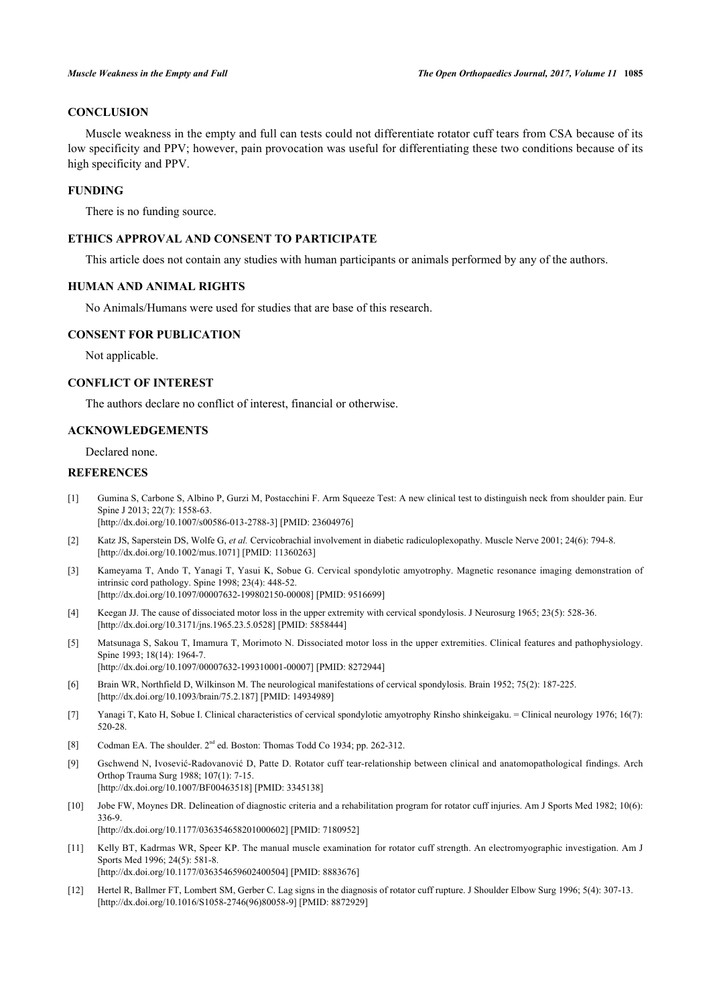## **CONCLUSION**

Muscle weakness in the empty and full can tests could not differentiate rotator cuff tears from CSA because of its low specificity and PPV; however, pain provocation was useful for differentiating these two conditions because of its high specificity and PPV.

## **FUNDING**

There is no funding source.

## **ETHICS APPROVAL AND CONSENT TO PARTICIPATE**

This article does not contain any studies with human participants or animals performed by any of the authors.

## **HUMAN AND ANIMAL RIGHTS**

No Animals/Humans were used for studies that are base of this research.

## **CONSENT FOR PUBLICATION**

Not applicable.

## **CONFLICT OF INTEREST**

The authors declare no conflict of interest, financial or otherwise.

## **ACKNOWLEDGEMENTS**

Declared none.

## **REFERENCES**

<span id="page-4-0"></span>[1] Gumina S, Carbone S, Albino P, Gurzi M, Postacchini F. Arm Squeeze Test: A new clinical test to distinguish neck from shoulder pain. Eur Spine I 2013: 22(7): 1558-63.

[\[http://dx.doi.org/10.1007/s00586-013-2788-3\]](http://dx.doi.org/10.1007/s00586-013-2788-3) [PMID: [23604976](http://www.ncbi.nlm.nih.gov/pubmed/23604976)]

- <span id="page-4-1"></span>[2] Katz JS, Saperstein DS, Wolfe G, *et al.* Cervicobrachial involvement in diabetic radiculoplexopathy. Muscle Nerve 2001; 24(6): 794-8. [\[http://dx.doi.org/10.1002/mus.1071](http://dx.doi.org/10.1002/mus.1071)] [PMID: [11360263\]](http://www.ncbi.nlm.nih.gov/pubmed/11360263)
- <span id="page-4-2"></span>[3] Kameyama T, Ando T, Yanagi T, Yasui K, Sobue G. Cervical spondylotic amyotrophy. Magnetic resonance imaging demonstration of intrinsic cord pathology. Spine 1998; 23(4): 448-52. [\[http://dx.doi.org/10.1097/00007632-199802150-00008](http://dx.doi.org/10.1097/00007632-199802150-00008)] [PMID: [9516699\]](http://www.ncbi.nlm.nih.gov/pubmed/9516699)
- [4] Keegan JJ. The cause of dissociated motor loss in the upper extremity with cervical spondylosis. J Neurosurg 1965; 23(5): 528-36. [\[http://dx.doi.org/10.3171/jns.1965.23.5.0528](http://dx.doi.org/10.3171/jns.1965.23.5.0528)] [PMID: [5858444\]](http://www.ncbi.nlm.nih.gov/pubmed/5858444)
- <span id="page-4-3"></span>[5] Matsunaga S, Sakou T, Imamura T, Morimoto N. Dissociated motor loss in the upper extremities. Clinical features and pathophysiology. Spine 1993; 18(14): 1964-7. [\[http://dx.doi.org/10.1097/00007632-199310001-00007](http://dx.doi.org/10.1097/00007632-199310001-00007)] [PMID: [8272944\]](http://www.ncbi.nlm.nih.gov/pubmed/8272944)
- [6] Brain WR, Northfield D, Wilkinson M. The neurological manifestations of cervical spondylosis. Brain 1952; 75(2): 187-225. [\[http://dx.doi.org/10.1093/brain/75.2.187](http://dx.doi.org/10.1093/brain/75.2.187)] [PMID: [14934989](http://www.ncbi.nlm.nih.gov/pubmed/14934989)]
- <span id="page-4-4"></span>[7] Yanagi T, Kato H, Sobue I. Clinical characteristics of cervical spondylotic amyotrophy Rinsho shinkeigaku. = Clinical neurology 1976; 16(7): 520-28.
- <span id="page-4-5"></span>[8] Codman EA. The shoulder.  $2^{nd}$  ed. Boston: Thomas Todd Co 1934; pp. 262-312.
- <span id="page-4-6"></span>[9] Gschwend N, Ivosević-Radovanović D, Patte D. Rotator cuff tear-relationship between clinical and anatomopathological findings. Arch Orthop Trauma Surg 1988; 107(1): 7-15. [\[http://dx.doi.org/10.1007/BF00463518\]](http://dx.doi.org/10.1007/BF00463518) [PMID: [3345138](http://www.ncbi.nlm.nih.gov/pubmed/3345138)]
- <span id="page-4-7"></span>[10] Jobe FW, Moynes DR. Delineation of diagnostic criteria and a rehabilitation program for rotator cuff injuries. Am J Sports Med 1982; 10(6): 336-9. [\[http://dx.doi.org/10.1177/036354658201000602\]](http://dx.doi.org/10.1177/036354658201000602) [PMID: [7180952](http://www.ncbi.nlm.nih.gov/pubmed/7180952)]
- <span id="page-4-8"></span>[11] Kelly BT, Kadrmas WR, Speer KP. The manual muscle examination for rotator cuff strength. An electromyographic investigation. Am J Sports Med 1996; 24(5): 581-8. [\[http://dx.doi.org/10.1177/036354659602400504\]](http://dx.doi.org/10.1177/036354659602400504) [PMID: [8883676](http://www.ncbi.nlm.nih.gov/pubmed/8883676)]
- <span id="page-4-9"></span>[12] Hertel R, Ballmer FT, Lombert SM, Gerber C. Lag signs in the diagnosis of rotator cuff rupture. J Shoulder Elbow Surg 1996; 5(4): 307-13. [\[http://dx.doi.org/10.1016/S1058-2746\(96\)80058-9\]](http://dx.doi.org/10.1016/S1058-2746(96)80058-9) [PMID: [8872929](http://www.ncbi.nlm.nih.gov/pubmed/8872929)]